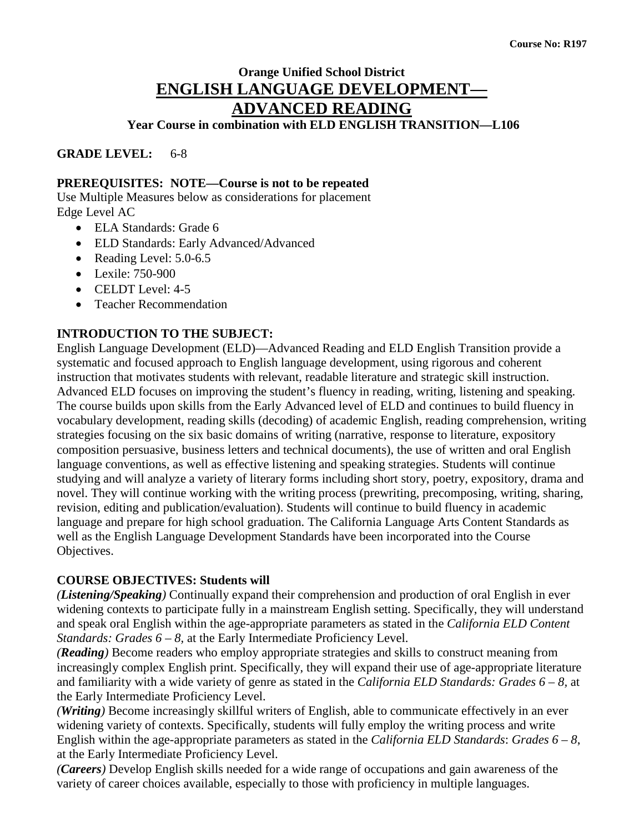# **Orange Unified School District ENGLISH LANGUAGE DEVELOPMENT— ADVANCED READING**

**Year Course in combination with ELD ENGLISH TRANSITION—L106**

**GRADE LEVEL:** 6-8

## **PREREQUISITES: NOTE—Course is not to be repeated**

Use Multiple Measures below as considerations for placement Edge Level AC

- ELA Standards: Grade 6
- ELD Standards: Early Advanced/Advanced
- Reading Level: 5.0-6.5
- Lexile: 750-900
- CELDT Level: 4-5
- Teacher Recommendation

## **INTRODUCTION TO THE SUBJECT:**

English Language Development (ELD)—Advanced Reading and ELD English Transition provide a systematic and focused approach to English language development, using rigorous and coherent instruction that motivates students with relevant, readable literature and strategic skill instruction. Advanced ELD focuses on improving the student's fluency in reading, writing, listening and speaking. The course builds upon skills from the Early Advanced level of ELD and continues to build fluency in vocabulary development, reading skills (decoding) of academic English, reading comprehension, writing strategies focusing on the six basic domains of writing (narrative, response to literature, expository composition persuasive, business letters and technical documents), the use of written and oral English language conventions, as well as effective listening and speaking strategies. Students will continue studying and will analyze a variety of literary forms including short story, poetry, expository, drama and novel. They will continue working with the writing process (prewriting, precomposing, writing, sharing, revision, editing and publication/evaluation). Students will continue to build fluency in academic language and prepare for high school graduation. The California Language Arts Content Standards as well as the English Language Development Standards have been incorporated into the Course Objectives.

## **COURSE OBJECTIVES: Students will**

*(Listening/Speaking)* Continually expand their comprehension and production of oral English in ever widening contexts to participate fully in a mainstream English setting. Specifically, they will understand and speak oral English within the age-appropriate parameters as stated in the *California ELD Content Standards: Grades 6 – 8, at the Early Intermediate Proficiency Level.* 

*(Reading)* Become readers who employ appropriate strategies and skills to construct meaning from increasingly complex English print. Specifically, they will expand their use of age-appropriate literature and familiarity with a wide variety of genre as stated in the *California ELD Standards: Grades 6 – 8,* at the Early Intermediate Proficiency Level.

*(Writing)* Become increasingly skillful writers of English, able to communicate effectively in an ever widening variety of contexts. Specifically, students will fully employ the writing process and write English within the age-appropriate parameters as stated in the *California ELD Standards*: *Grades 6 – 8*, at the Early Intermediate Proficiency Level.

*(Careers)* Develop English skills needed for a wide range of occupations and gain awareness of the variety of career choices available, especially to those with proficiency in multiple languages.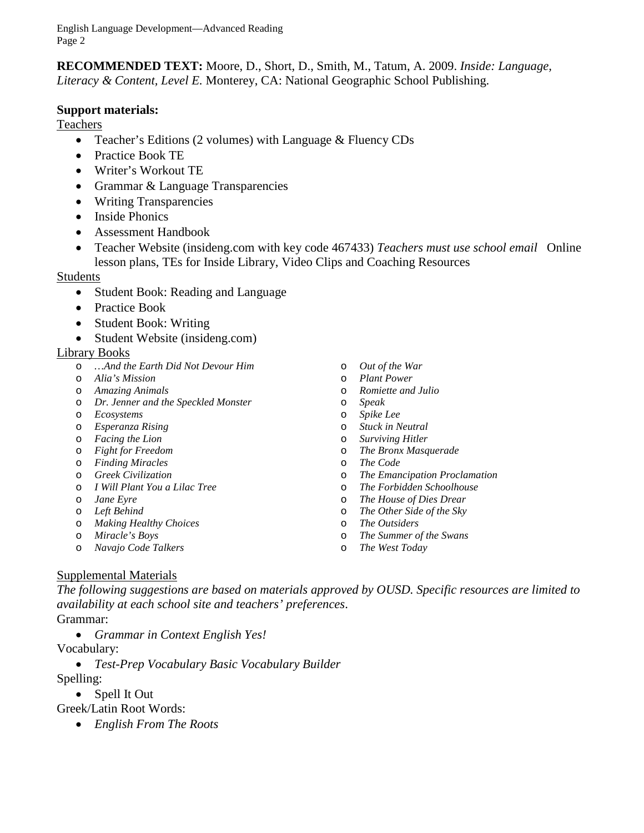**RECOMMENDED TEXT:** Moore, D., Short, D., Smith, M., Tatum, A. 2009. *Inside: Language, Literacy & Content, Level E.* Monterey, CA: National Geographic School Publishing.

## **Support materials:**

Teachers

- Teacher's Editions (2 volumes) with Language & Fluency CDs
- Practice Book TE
- Writer's Workout TE
- Grammar & Language Transparencies
- Writing Transparencies
- Inside Phonics
- Assessment Handbook
- Teacher Website (insideng.com with key code 467433) *Teachers must use school email* Online lesson plans, TEs for Inside Library, Video Clips and Coaching Resources

#### Students

- Student Book: Reading and Language
- Practice Book
- Student Book: Writing
- Student Website (insideng.com)

#### Library Books

- o *…And the Earth Did Not Devour Him*
- o *Alia's Mission*
- o *Amazing Animals*
- o *Dr. Jenner and the Speckled Monster*
- o *Ecosystems*
- o *Esperanza Rising*
- o *Facing the Lion*
- o *Fight for Freedom*
- o *Finding Miracles*
- o *Greek Civilization*
- o *I Will Plant You a Lilac Tree*
- o *Jane Eyre*
- o *Left Behind*
- o *Making Healthy Choices*
- o *Miracle's Boys*
- o *Navajo Code Talkers*
- o *Out of the War*
- o *Plant Power*
- o *Romiette and Julio*
- o *Speak*
- o *Spike Lee*
- o *Stuck in Neutral*
- **Surviving Hitler**
- o *The Bronx Masquerade*
- o *The Code*
- o *The Emancipation Proclamation*
- o *The Forbidden Schoolhouse*
- **The House of Dies Drear**
- o *The Other Side of the Sky*
- o *The Outsiders*
- o *The Summer of the Swans*
- o *The West Today*

## Supplemental Materials

*The following suggestions are based on materials approved by OUSD. Specific resources are limited to availability at each school site and teachers' preferences*.

- Grammar:
	- *Grammar in Context English Yes!*

Vocabulary:

• *Test-Prep Vocabulary Basic Vocabulary Builder*

Spelling:

- Spell It Out
- Greek/Latin Root Words:
	- *English From The Roots*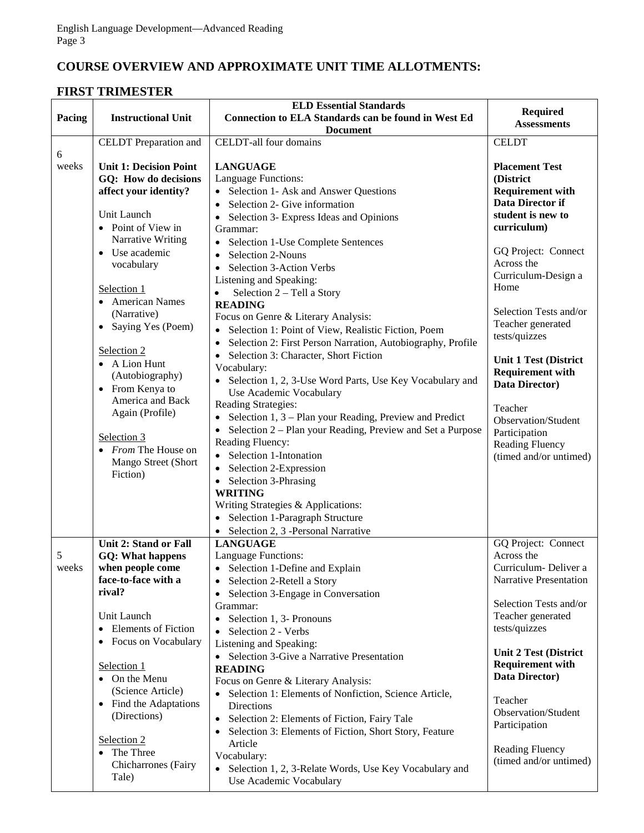# **COURSE OVERVIEW AND APPROXIMATE UNIT TIME ALLOTMENTS:**

## **FIRST TRIMESTER**

| Pacing     | <b>Instructional Unit</b>                             | <b>ELD Essential Standards</b><br><b>Connection to ELA Standards can be found in West Ed</b> | Required                                       |
|------------|-------------------------------------------------------|----------------------------------------------------------------------------------------------|------------------------------------------------|
|            |                                                       | <b>Document</b>                                                                              | <b>Assessments</b>                             |
|            | CELDT Preparation and                                 | CELDT-all four domains                                                                       | <b>CELDT</b>                                   |
| 6<br>weeks | <b>Unit 1: Decision Point</b><br>GQ: How do decisions | <b>LANGUAGE</b><br>Language Functions:                                                       | <b>Placement Test</b><br>(District             |
|            | affect your identity?                                 | • Selection 1- Ask and Answer Questions                                                      | <b>Requirement with</b>                        |
|            |                                                       | • Selection 2- Give information                                                              | Data Director if                               |
|            | Unit Launch                                           | Selection 3- Express Ideas and Opinions                                                      | student is new to                              |
|            | • Point of View in                                    | Grammar:                                                                                     | curriculum)                                    |
|            | Narrative Writing<br>• Use academic                   | • Selection 1-Use Complete Sentences                                                         | GQ Project: Connect                            |
|            | vocabulary                                            | Selection 2-Nouns                                                                            | Across the                                     |
|            |                                                       | Selection 3-Action Verbs<br>$\bullet$                                                        | Curriculum-Design a                            |
|            | Selection 1                                           | Listening and Speaking:<br>Selection 2 – Tell a Story                                        | Home                                           |
|            | • American Names                                      | <b>READING</b>                                                                               |                                                |
|            | (Narrative)                                           | Focus on Genre & Literary Analysis:                                                          | Selection Tests and/or                         |
|            | • Saying Yes (Poem)                                   | • Selection 1: Point of View, Realistic Fiction, Poem                                        | Teacher generated                              |
|            |                                                       | Selection 2: First Person Narration, Autobiography, Profile                                  | tests/quizzes                                  |
|            | Selection 2                                           | Selection 3: Character, Short Fiction                                                        | <b>Unit 1 Test (District</b>                   |
|            | A Lion Hunt                                           | Vocabulary:                                                                                  | <b>Requirement with</b>                        |
|            | (Autobiography)<br>• From Kenya to                    | • Selection 1, 2, 3-Use Word Parts, Use Key Vocabulary and                                   | Data Director)                                 |
|            | America and Back                                      | Use Academic Vocabulary                                                                      |                                                |
|            | Again (Profile)                                       | Reading Strategies:                                                                          | Teacher                                        |
|            |                                                       | • Selection $1, 3$ – Plan your Reading, Preview and Predict                                  | Observation/Student                            |
|            | Selection 3                                           | • Selection 2 – Plan your Reading, Preview and Set a Purpose<br>Reading Fluency:             | Participation                                  |
|            | • From The House on                                   | • Selection 1-Intonation                                                                     | Reading Fluency<br>(timed and/or untimed)      |
|            | Mango Street (Short                                   | • Selection 2-Expression                                                                     |                                                |
|            | Fiction)                                              | • Selection 3-Phrasing                                                                       |                                                |
|            |                                                       | <b>WRITING</b>                                                                               |                                                |
|            |                                                       | Writing Strategies & Applications:                                                           |                                                |
|            |                                                       | • Selection 1-Paragraph Structure                                                            |                                                |
|            |                                                       | • Selection 2, 3 -Personal Narrative                                                         |                                                |
|            | <b>Unit 2: Stand or Fall</b>                          | <b>LANGUAGE</b>                                                                              | GQ Project: Connect                            |
| 5          | <b>GQ: What happens</b>                               | Language Functions:                                                                          | Across the                                     |
| weeks      | when people come<br>face-to-face with a               | • Selection 1-Define and Explain<br>• Selection 2-Retell a Story                             | Curriculum-Deliver a<br>Narrative Presentation |
|            | rival?                                                | Selection 3-Engage in Conversation<br>$\bullet$                                              |                                                |
|            |                                                       | Grammar:                                                                                     | Selection Tests and/or                         |
|            | Unit Launch                                           | Selection 1, 3- Pronouns<br>$\bullet$                                                        | Teacher generated                              |
|            | <b>Elements</b> of Fiction                            | • Selection 2 - Verbs                                                                        | tests/quizzes                                  |
|            | Focus on Vocabulary                                   | Listening and Speaking:                                                                      |                                                |
|            |                                                       | • Selection 3-Give a Narrative Presentation                                                  | <b>Unit 2 Test (District</b>                   |
|            | Selection 1                                           | <b>READING</b>                                                                               | <b>Requirement with</b><br>Data Director)      |
|            | • On the Menu                                         | Focus on Genre & Literary Analysis:                                                          |                                                |
|            | (Science Article)<br>• Find the Adaptations           | • Selection 1: Elements of Nonfiction, Science Article,                                      | Teacher                                        |
|            | (Directions)                                          | <b>Directions</b>                                                                            | Observation/Student                            |
|            |                                                       | Selection 2: Elements of Fiction, Fairy Tale<br>$\bullet$                                    | Participation                                  |
|            | Selection 2                                           | Selection 3: Elements of Fiction, Short Story, Feature<br>$\bullet$<br>Article               |                                                |
|            | • The Three                                           | Vocabulary:                                                                                  | <b>Reading Fluency</b>                         |
|            | Chicharrones (Fairy                                   | • Selection 1, 2, 3-Relate Words, Use Key Vocabulary and                                     | (timed and/or untimed)                         |
|            | Tale)                                                 | Use Academic Vocabulary                                                                      |                                                |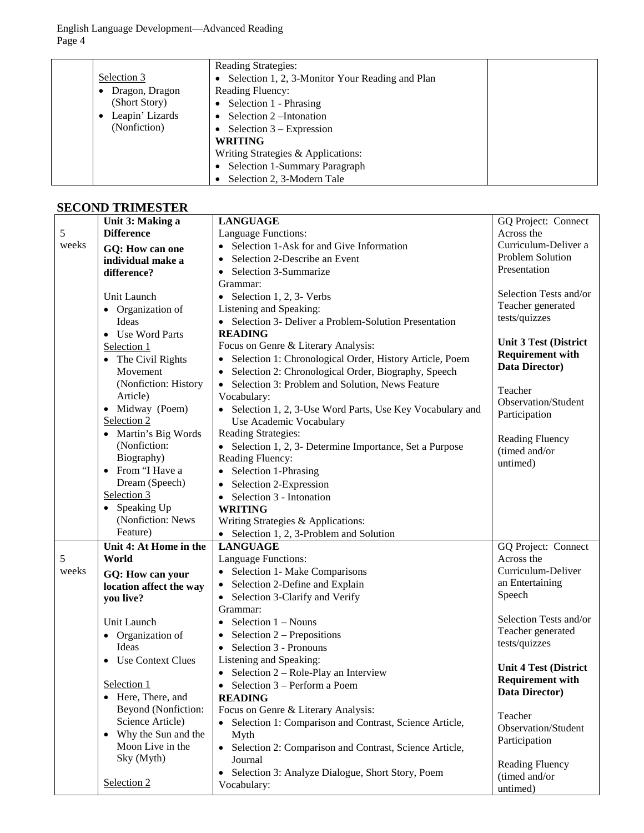|                 | <b>Reading Strategies:</b>                      |  |
|-----------------|-------------------------------------------------|--|
| Selection 3     | Selection 1, 2, 3-Monitor Your Reading and Plan |  |
| Dragon, Dragon  | <b>Reading Fluency:</b>                         |  |
| (Short Story)   | • Selection $1$ - Phrasing                      |  |
| Leapin' Lizards | Selection 2-Intonation                          |  |
| (Nonfiction)    | • Selection $3 -$ Expression                    |  |
|                 | <b>WRITING</b>                                  |  |
|                 | Writing Strategies & Applications:              |  |
|                 | Selection 1-Summary Paragraph                   |  |
|                 | Selection 2, 3-Modern Tale                      |  |

## **SECOND TRIMESTER**

|       | Unit 3: Making a        | <b>LANGUAGE</b>                                                     | GQ Project: Connect          |
|-------|-------------------------|---------------------------------------------------------------------|------------------------------|
| 5     | <b>Difference</b>       | Language Functions:                                                 | Across the                   |
| weeks | GQ: How can one         | Selection 1-Ask for and Give Information                            | Curriculum-Deliver a         |
|       | individual make a       | Selection 2-Describe an Event                                       | Problem Solution             |
|       | difference?             | Selection 3-Summarize                                               | Presentation                 |
|       |                         | Grammar:                                                            |                              |
|       | Unit Launch             | • Selection 1, 2, 3- Verbs                                          | Selection Tests and/or       |
|       | • Organization of       | Listening and Speaking:                                             | Teacher generated            |
|       | Ideas                   | • Selection 3- Deliver a Problem-Solution Presentation              | tests/quizzes                |
|       | • Use Word Parts        | <b>READING</b>                                                      |                              |
|       | Selection 1             | Focus on Genre & Literary Analysis:                                 | <b>Unit 3 Test (District</b> |
|       | • The Civil Rights      | • Selection 1: Chronological Order, History Article, Poem           | <b>Requirement with</b>      |
|       | Movement                | Selection 2: Chronological Order, Biography, Speech                 | Data Director)               |
|       | (Nonfiction: History    | • Selection 3: Problem and Solution, News Feature                   |                              |
|       | Article)                | Vocabulary:                                                         | Teacher                      |
|       | • Midway (Poem)         | • Selection 1, 2, 3-Use Word Parts, Use Key Vocabulary and          | Observation/Student          |
|       | Selection 2             | Use Academic Vocabulary                                             | Participation                |
|       | • Martin's Big Words    | Reading Strategies:                                                 | <b>Reading Fluency</b>       |
|       | (Nonfiction:            | • Selection 1, 2, 3- Determine Importance, Set a Purpose            | (timed and/or                |
|       | Biography)              | Reading Fluency:                                                    | untimed)                     |
|       | • From "I Have a        | • Selection 1-Phrasing                                              |                              |
|       | Dream (Speech)          | • Selection 2-Expression                                            |                              |
|       | Selection 3             | $\bullet$ Selection 3 - Intonation                                  |                              |
|       | • Speaking Up           | <b>WRITING</b>                                                      |                              |
|       | (Nonfiction: News       | Writing Strategies & Applications:                                  |                              |
|       | Feature)                | • Selection 1, 2, 3-Problem and Solution                            |                              |
|       | Unit 4: At Home in the  | <b>LANGUAGE</b>                                                     | GQ Project: Connect          |
| 5     | World                   | Language Functions:                                                 | Across the                   |
| weeks | GQ: How can your        | • Selection 1- Make Comparisons                                     | Curriculum-Deliver           |
|       | location affect the way | • Selection 2-Define and Explain                                    | an Entertaining              |
|       | you live?               | • Selection 3-Clarify and Verify                                    | Speech                       |
|       |                         | Grammar:                                                            |                              |
|       | Unit Launch             | • Selection $1 - Nouns$                                             | Selection Tests and/or       |
|       | • Organization of       | • Selection $2$ – Prepositions                                      | Teacher generated            |
|       | Ideas                   | $\bullet$ Selection 3 - Pronouns                                    | tests/quizzes                |
|       | • Use Context Clues     | Listening and Speaking:                                             | <b>Unit 4 Test (District</b> |
|       |                         | • Selection $2 - \text{Role-Play}$ an Interview                     | <b>Requirement with</b>      |
|       | Selection 1             | Selection 3 – Perform a Poem                                        | Data Director)               |
|       | • Here, There, and      | <b>READING</b>                                                      |                              |
|       | Beyond (Nonfiction:     | Focus on Genre & Literary Analysis:                                 | Teacher                      |
|       | Science Article)        | Selection 1: Comparison and Contrast, Science Article,<br>$\bullet$ | Observation/Student          |
|       | • Why the Sun and the   | Myth                                                                | Participation                |
|       | Moon Live in the        | • Selection 2: Comparison and Contrast, Science Article,            |                              |
|       | Sky (Myth)              | Journal                                                             | Reading Fluency              |
|       | Selection 2             | Selection 3: Analyze Dialogue, Short Story, Poem<br>$\bullet$       | (timed and/or                |
|       |                         | Vocabulary:                                                         | untimed)                     |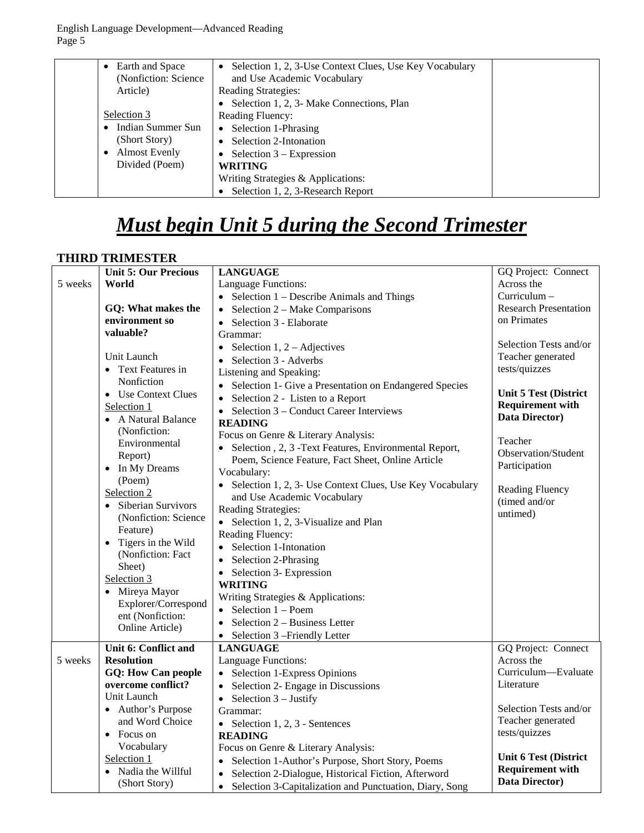| Earth and Space<br>(Nonfiction: Science) | Selection 1, 2, 3-Use Context Clues, Use Key Vocabulary<br>$\bullet$<br>and Use Academic Vocabulary |  |
|------------------------------------------|-----------------------------------------------------------------------------------------------------|--|
| Article)                                 | <b>Reading Strategies:</b>                                                                          |  |
|                                          | Selection 1, 2, 3- Make Connections, Plan                                                           |  |
| Selection 3                              | <b>Reading Fluency:</b>                                                                             |  |
| Indian Summer Sun                        | • Selection 1-Phrasing                                                                              |  |
| (Short Story)                            | Selection 2-Intonation                                                                              |  |
| <b>Almost Evenly</b>                     | Selection $3 -$ Expression                                                                          |  |
| Divided (Poem)                           | <b>WRITING</b>                                                                                      |  |
|                                          | Writing Strategies & Applications:                                                                  |  |
|                                          | Selection 1, 2, 3-Research Report                                                                   |  |

# *Must begin Unit 5 during the Second Trimester*

## **THIRD TRIMESTER**

|         | <b>Unit 5: Our Precious</b>     | <b>LANGUAGE</b>                                                      | GQ Project: Connect          |
|---------|---------------------------------|----------------------------------------------------------------------|------------------------------|
| 5 weeks | World                           | Language Functions:                                                  | Across the                   |
|         |                                 | • Selection $1 -$ Describe Animals and Things                        | $Curriculum -$               |
|         | GQ: What makes the              | Selection 2 – Make Comparisons<br>$\bullet$                          | <b>Research Presentation</b> |
|         | environment so                  | Selection 3 - Elaborate<br>$\bullet$                                 | on Primates                  |
|         | valuable?                       | Grammar:                                                             |                              |
|         |                                 | Selection 1, $2 - \text{Adjectives}$<br>$\bullet$                    | Selection Tests and/or       |
|         | Unit Launch                     | Selection 3 - Adverbs<br>$\bullet$                                   | Teacher generated            |
|         | • Text Features in              | Listening and Speaking:                                              | tests/quizzes                |
|         | Nonfiction                      | • Selection 1- Give a Presentation on Endangered Species             |                              |
|         | • Use Context Clues             | Selection 2 - Listen to a Report<br>$\bullet$                        | <b>Unit 5 Test (District</b> |
|         | Selection 1                     | Selection 3 – Conduct Career Interviews                              | <b>Requirement with</b>      |
|         | • A Natural Balance             | <b>READING</b>                                                       | Data Director)               |
|         | (Nonfiction:                    | Focus on Genre & Literary Analysis:                                  |                              |
|         | Environmental                   | Selection, 2, 3 - Text Features, Environmental Report,               | Teacher                      |
|         | Report)                         | Poem, Science Feature, Fact Sheet, Online Article                    | Observation/Student          |
|         | In My Dreams<br>$\bullet$       | Vocabulary:                                                          | Participation                |
|         | (Poem)                          | • Selection 1, 2, 3- Use Context Clues, Use Key Vocabulary           |                              |
|         | Selection 2                     | and Use Academic Vocabulary                                          | Reading Fluency              |
|         | Siberian Survivors<br>$\bullet$ | Reading Strategies:                                                  | (timed and/or                |
|         | (Nonfiction: Science            | • Selection 1, 2, 3-Visualize and Plan                               | untimed)                     |
|         | Feature)                        | Reading Fluency:                                                     |                              |
|         | Tigers in the Wild<br>$\bullet$ | Selection 1-Intonation                                               |                              |
|         | (Nonfiction: Fact               | Selection 2-Phrasing<br>$\bullet$                                    |                              |
|         | Sheet)                          | • Selection 3- Expression                                            |                              |
|         | Selection 3                     | <b>WRITING</b>                                                       |                              |
|         | • Mireya Mayor                  | Writing Strategies & Applications:                                   |                              |
|         | Explorer/Correspond             | $\bullet$ Selection 1 – Poem                                         |                              |
|         | ent (Nonfiction:                | Selection 2 - Business Letter<br>$\bullet$                           |                              |
|         | Online Article)                 | • Selection 3 – Friendly Letter                                      |                              |
|         | Unit 6: Conflict and            | <b>LANGUAGE</b>                                                      | GQ Project: Connect          |
| 5 weeks | <b>Resolution</b>               | Language Functions:                                                  | Across the                   |
|         | <b>GQ: How Can people</b>       | • Selection 1-Express Opinions                                       | Curriculum—Evaluate          |
|         | overcome conflict?              | Selection 2- Engage in Discussions<br>$\bullet$                      | Literature                   |
|         | Unit Launch                     | Selection $3$ – Justify<br>$\bullet$                                 |                              |
|         | • Author's Purpose              | Grammar:                                                             | Selection Tests and/or       |
|         | and Word Choice                 | • Selection 1, 2, 3 - Sentences                                      | Teacher generated            |
|         | • Focus on                      | <b>READING</b>                                                       | tests/quizzes                |
|         | Vocabulary                      | Focus on Genre & Literary Analysis:                                  |                              |
|         | Selection 1                     | • Selection 1-Author's Purpose, Short Story, Poems                   | <b>Unit 6 Test (District</b> |
|         | Nadia the Willful               | Selection 2-Dialogue, Historical Fiction, Afterword<br>$\bullet$     | <b>Requirement with</b>      |
|         | (Short Story)                   | Selection 3-Capitalization and Punctuation, Diary, Song<br>$\bullet$ | Data Director)               |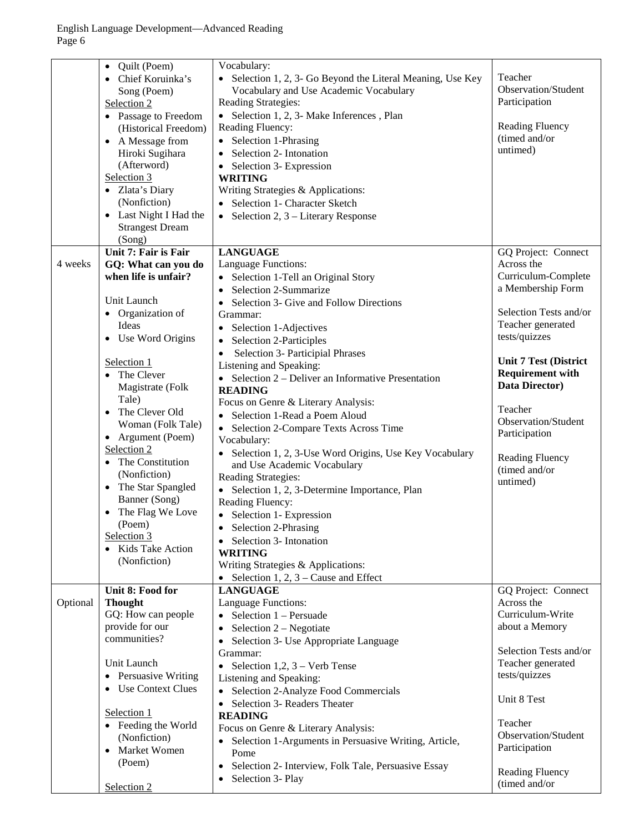|          | Quilt (Poem)<br>$\bullet$<br>Chief Koruinka's<br>Song (Poem)<br>Selection 2<br>• Passage to Freedom<br>(Historical Freedom)<br>• A Message from<br>Hiroki Sugihara<br>(Afterword)<br>Selection 3<br>• Zlata's Diary<br>(Nonfiction)<br>• Last Night I Had the<br><b>Strangest Dream</b><br>(Song) | Vocabulary:<br>• Selection 1, 2, 3- Go Beyond the Literal Meaning, Use Key<br>Vocabulary and Use Academic Vocabulary<br>Reading Strategies:<br>• Selection 1, 2, 3- Make Inferences, Plan<br>Reading Fluency:<br>Selection 1-Phrasing<br>Selection 2- Intonation<br>Selection 3- Expression<br>$\bullet$<br><b>WRITING</b><br>Writing Strategies & Applications:<br>Selection 1- Character Sketch<br>Selection 2, 3 – Literary Response                                                                                                                                                      | Teacher<br>Observation/Student<br>Participation<br><b>Reading Fluency</b><br>(timed and/or<br>untimed)                                                                                                                                |
|----------|---------------------------------------------------------------------------------------------------------------------------------------------------------------------------------------------------------------------------------------------------------------------------------------------------|----------------------------------------------------------------------------------------------------------------------------------------------------------------------------------------------------------------------------------------------------------------------------------------------------------------------------------------------------------------------------------------------------------------------------------------------------------------------------------------------------------------------------------------------------------------------------------------------|---------------------------------------------------------------------------------------------------------------------------------------------------------------------------------------------------------------------------------------|
|          |                                                                                                                                                                                                                                                                                                   |                                                                                                                                                                                                                                                                                                                                                                                                                                                                                                                                                                                              |                                                                                                                                                                                                                                       |
| 4 weeks  | Unit 7: Fair is Fair<br>GQ: What can you do<br>when life is unfair?<br>Unit Launch<br>• Organization of<br>Ideas<br>• Use Word Origins<br>Selection 1<br>• The Clever<br>Magistrate (Folk<br>Tale)<br>• The Clever Old                                                                            | <b>LANGUAGE</b><br>Language Functions:<br>Selection 1-Tell an Original Story<br>$\bullet$<br>Selection 2-Summarize<br>Selection 3- Give and Follow Directions<br>Grammar:<br>Selection 1-Adjectives<br>$\bullet$<br>Selection 2-Participles<br>Selection 3- Participial Phrases<br>Listening and Speaking:<br>• Selection $2$ – Deliver an Informative Presentation<br><b>READING</b><br>Focus on Genre & Literary Analysis:<br>Selection 1-Read a Poem Aloud                                                                                                                                | GQ Project: Connect<br>Across the<br>Curriculum-Complete<br>a Membership Form<br>Selection Tests and/or<br>Teacher generated<br>tests/quizzes<br><b>Unit 7 Test (District</b><br><b>Requirement with</b><br>Data Director)<br>Teacher |
|          | Woman (Folk Tale)<br>• Argument (Poem)<br>Selection 2<br>• The Constitution<br>(Nonfiction)<br>• The Star Spangled<br>Banner (Song)<br>The Flag We Love<br>(Poem)<br>Selection 3<br>• Kids Take Action<br>(Nonfiction)<br>Unit 8: Food for                                                        | • Selection 2-Compare Texts Across Time<br>Vocabulary:<br>Selection 1, 2, 3-Use Word Origins, Use Key Vocabulary<br>and Use Academic Vocabulary<br>Reading Strategies:<br>• Selection 1, 2, 3-Determine Importance, Plan<br>Reading Fluency:<br>• Selection 1- Expression<br>Selection 2-Phrasing<br>Selection 3- Intonation<br><b>WRITING</b><br>Writing Strategies & Applications:<br>• Selection 1, 2, $3$ – Cause and Effect<br><b>LANGUAGE</b>                                                                                                                                          | Observation/Student<br>Participation<br><b>Reading Fluency</b><br>(timed and/or<br>untimed)<br>GQ Project: Connect                                                                                                                    |
| Optional | <b>Thought</b><br>GQ: How can people<br>provide for our<br>communities?<br>Unit Launch<br>• Persuasive Writing<br>• Use Context Clues<br>Selection 1<br>• Feeding the World<br>(Nonfiction)<br>Market Women<br>(Poem)<br>Selection 2                                                              | <b>Language Functions:</b><br>• Selection $1 -$ Persuade<br>Selection 2 - Negotiate<br>$\bullet$<br>Selection 3- Use Appropriate Language<br>$\bullet$<br>Grammar:<br>Selection 1,2, $3$ – Verb Tense<br>$\bullet$<br>Listening and Speaking:<br>Selection 2-Analyze Food Commercials<br>$\bullet$<br>Selection 3- Readers Theater<br>$\bullet$<br><b>READING</b><br>Focus on Genre & Literary Analysis:<br>Selection 1-Arguments in Persuasive Writing, Article,<br>$\bullet$<br>Pome<br>Selection 2- Interview, Folk Tale, Persuasive Essay<br>$\bullet$<br>Selection 3- Play<br>$\bullet$ | Across the<br>Curriculum-Write<br>about a Memory<br>Selection Tests and/or<br>Teacher generated<br>tests/quizzes<br>Unit 8 Test<br>Teacher<br>Observation/Student<br>Participation<br><b>Reading Fluency</b><br>(timed and/or         |